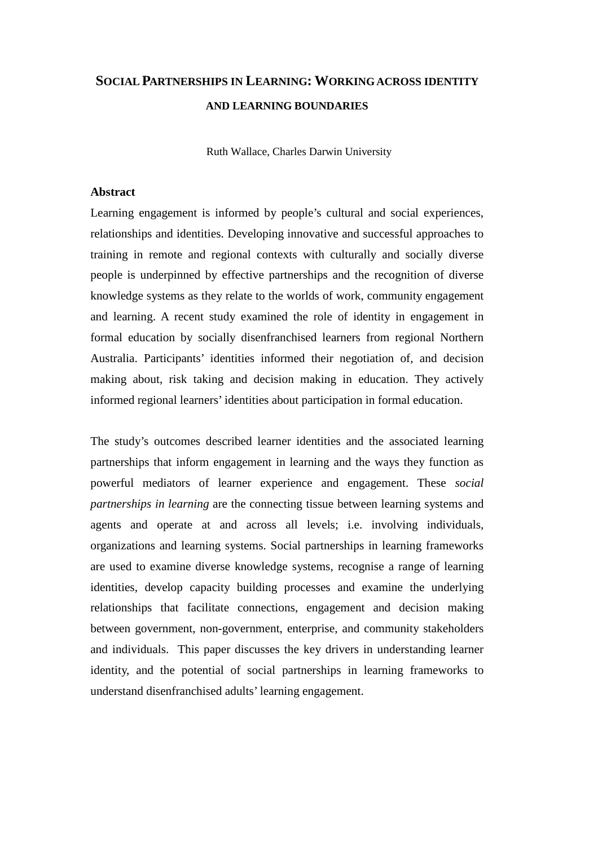# **SOCIAL PARTNERSHIPS IN LEARNING: WORKING ACROSS IDENTITY AND LEARNING BOUNDARIES**

Ruth Wallace, Charles Darwin University

## **Abstract**

Learning engagement is informed by people's cultural and social experiences, relationships and identities. Developing innovative and successful approaches to training in remote and regional contexts with culturally and socially diverse people is underpinned by effective partnerships and the recognition of diverse knowledge systems as they relate to the worlds of work, community engagement and learning. A recent study examined the role of identity in engagement in formal education by socially disenfranchised learners from regional Northern Australia. Participants' identities informed their negotiation of, and decision making about, risk taking and decision making in education. They actively informed regional learners' identities about participation in formal education.

The study's outcomes described learner identities and the associated learning partnerships that inform engagement in learning and the ways they function as powerful mediators of learner experience and engagement. These *social partnerships in learning* are the connecting tissue between learning systems and agents and operate at and across all levels; i.e. involving individuals, organizations and learning systems. Social partnerships in learning frameworks are used to examine diverse knowledge systems, recognise a range of learning identities, develop capacity building processes and examine the underlying relationships that facilitate connections, engagement and decision making between government, non-government, enterprise, and community stakeholders and individuals. This paper discusses the key drivers in understanding learner identity, and the potential of social partnerships in learning frameworks to understand disenfranchised adults' learning engagement.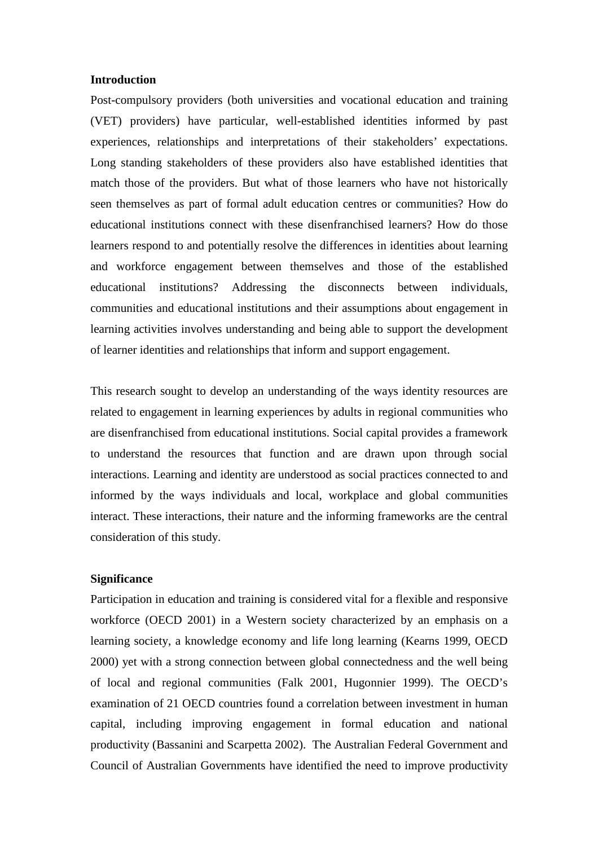#### **Introduction**

Post-compulsory providers (both universities and vocational education and training (VET) providers) have particular, well-established identities informed by past experiences, relationships and interpretations of their stakeholders' expectations. Long standing stakeholders of these providers also have established identities that match those of the providers. But what of those learners who have not historically seen themselves as part of formal adult education centres or communities? How do educational institutions connect with these disenfranchised learners? How do those learners respond to and potentially resolve the differences in identities about learning and workforce engagement between themselves and those of the established educational institutions? Addressing the disconnects between individuals, communities and educational institutions and their assumptions about engagement in learning activities involves understanding and being able to support the development of learner identities and relationships that inform and support engagement.

This research sought to develop an understanding of the ways identity resources are related to engagement in learning experiences by adults in regional communities who are disenfranchised from educational institutions. Social capital provides a framework to understand the resources that function and are drawn upon through social interactions. Learning and identity are understood as social practices connected to and informed by the ways individuals and local, workplace and global communities interact. These interactions, their nature and the informing frameworks are the central consideration of this study.

#### **Significance**

Participation in education and training is considered vital for a flexible and responsive workforce (OECD 2001) in a Western society characterized by an emphasis on a learning society, a knowledge economy and life long learning (Kearns 1999, OECD 2000) yet with a strong connection between global connectedness and the well being of local and regional communities (Falk 2001, Hugonnier 1999). The OECD's examination of 21 OECD countries found a correlation between investment in human capital, including improving engagement in formal education and national productivity (Bassanini and Scarpetta 2002). The Australian Federal Government and Council of Australian Governments have identified the need to improve productivity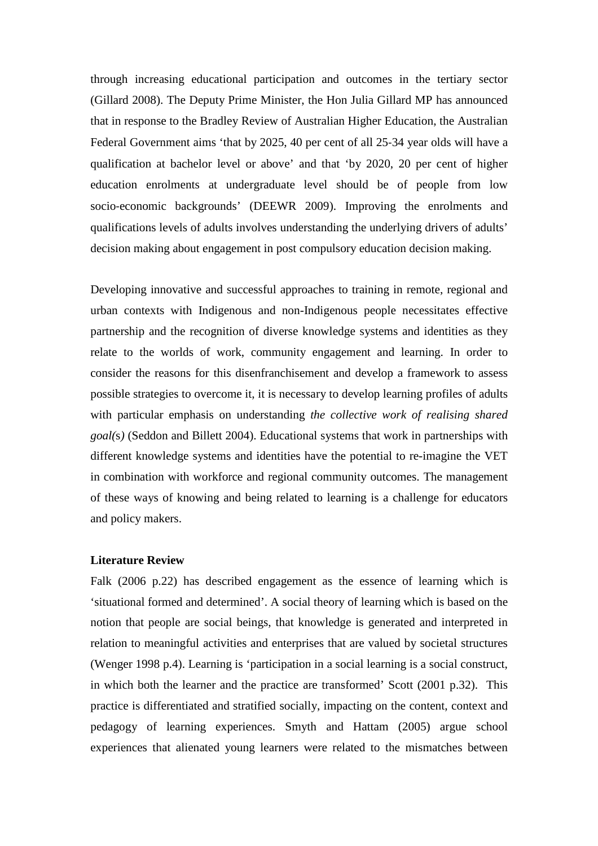through increasing educational participation and outcomes in the tertiary sector (Gillard 2008). The Deputy Prime Minister, the Hon Julia Gillard MP has announced that in response to the Bradley Review of Australian Higher Education, the Australian Federal Government aims 'that by 2025, 40 per cent of all 25‐34 year olds will have a qualification at bachelor level or above' and that 'by 2020, 20 per cent of higher education enrolments at undergraduate level should be of people from low socio-economic backgrounds' (DEEWR 2009). Improving the enrolments and qualifications levels of adults involves understanding the underlying drivers of adults' decision making about engagement in post compulsory education decision making.

Developing innovative and successful approaches to training in remote, regional and urban contexts with Indigenous and non-Indigenous people necessitates effective partnership and the recognition of diverse knowledge systems and identities as they relate to the worlds of work, community engagement and learning. In order to consider the reasons for this disenfranchisement and develop a framework to assess possible strategies to overcome it, it is necessary to develop learning profiles of adults with particular emphasis on understanding *the collective work of realising shared goal(*s*)* (Seddon and Billett 2004). Educational systems that work in partnerships with different knowledge systems and identities have the potential to re-imagine the VET in combination with workforce and regional community outcomes. The management of these ways of knowing and being related to learning is a challenge for educators and policy makers.

#### **Literature Review**

Falk (2006 p.22) has described engagement as the essence of learning which is 'situational formed and determined'. A social theory of learning which is based on the notion that people are social beings, that knowledge is generated and interpreted in relation to meaningful activities and enterprises that are valued by societal structures (Wenger 1998 p.4). Learning is 'participation in a social learning is a social construct, in which both the learner and the practice are transformed' Scott (2001 p.32). This practice is differentiated and stratified socially, impacting on the content, context and pedagogy of learning experiences. Smyth and Hattam (2005) argue school experiences that alienated young learners were related to the mismatches between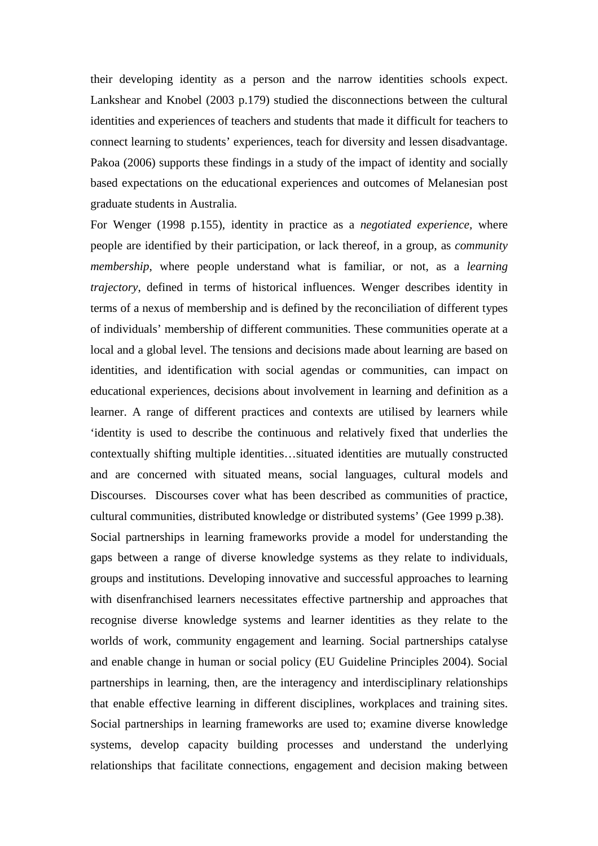their developing identity as a person and the narrow identities schools expect. Lankshear and Knobel (2003 p.179) studied the disconnections between the cultural identities and experiences of teachers and students that made it difficult for teachers to connect learning to students' experiences, teach for diversity and lessen disadvantage. Pakoa (2006) supports these findings in a study of the impact of identity and socially based expectations on the educational experiences and outcomes of Melanesian post graduate students in Australia.

For Wenger (1998 p.155), identity in practice as a *negotiated experience,* where people are identified by their participation, or lack thereof, in a group, as *community membership*, where people understand what is familiar, or not, as a *learning trajectory*, defined in terms of historical influences. Wenger describes identity in terms of a nexus of membership and is defined by the reconciliation of different types of individuals' membership of different communities. These communities operate at a local and a global level. The tensions and decisions made about learning are based on identities, and identification with social agendas or communities, can impact on educational experiences, decisions about involvement in learning and definition as a learner. A range of different practices and contexts are utilised by learners while 'identity is used to describe the continuous and relatively fixed that underlies the contextually shifting multiple identities…situated identities are mutually constructed and are concerned with situated means, social languages, cultural models and Discourses. Discourses cover what has been described as communities of practice, cultural communities, distributed knowledge or distributed systems' (Gee 1999 p.38). Social partnerships in learning frameworks provide a model for understanding the gaps between a range of diverse knowledge systems as they relate to individuals, groups and institutions. Developing innovative and successful approaches to learning with disenfranchised learners necessitates effective partnership and approaches that recognise diverse knowledge systems and learner identities as they relate to the worlds of work, community engagement and learning. Social partnerships catalyse and enable change in human or social policy (EU Guideline Principles 2004). Social partnerships in learning, then, are the interagency and interdisciplinary relationships that enable effective learning in different disciplines, workplaces and training sites. Social partnerships in learning frameworks are used to; examine diverse knowledge systems, develop capacity building processes and understand the underlying relationships that facilitate connections, engagement and decision making between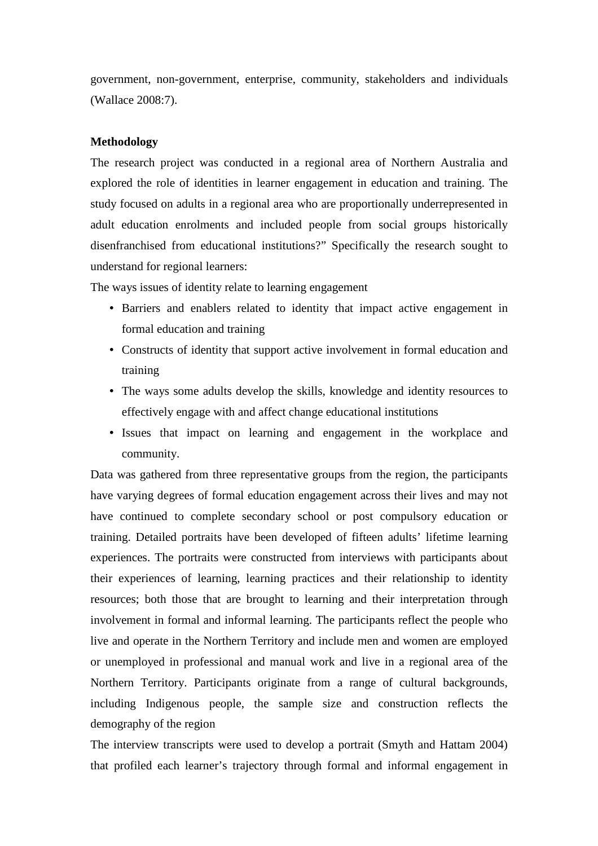government, non-government, enterprise, community, stakeholders and individuals (Wallace 2008:7).

## **Methodology**

The research project was conducted in a regional area of Northern Australia and explored the role of identities in learner engagement in education and training. The study focused on adults in a regional area who are proportionally underrepresented in adult education enrolments and included people from social groups historically disenfranchised from educational institutions?" Specifically the research sought to understand for regional learners:

The ways issues of identity relate to learning engagement

- Barriers and enablers related to identity that impact active engagement in formal education and training
- Constructs of identity that support active involvement in formal education and training
- The ways some adults develop the skills, knowledge and identity resources to effectively engage with and affect change educational institutions
- Issues that impact on learning and engagement in the workplace and community.

Data was gathered from three representative groups from the region, the participants have varying degrees of formal education engagement across their lives and may not have continued to complete secondary school or post compulsory education or training. Detailed portraits have been developed of fifteen adults' lifetime learning experiences. The portraits were constructed from interviews with participants about their experiences of learning, learning practices and their relationship to identity resources; both those that are brought to learning and their interpretation through involvement in formal and informal learning. The participants reflect the people who live and operate in the Northern Territory and include men and women are employed or unemployed in professional and manual work and live in a regional area of the Northern Territory. Participants originate from a range of cultural backgrounds, including Indigenous people, the sample size and construction reflects the demography of the region

The interview transcripts were used to develop a portrait (Smyth and Hattam 2004) that profiled each learner's trajectory through formal and informal engagement in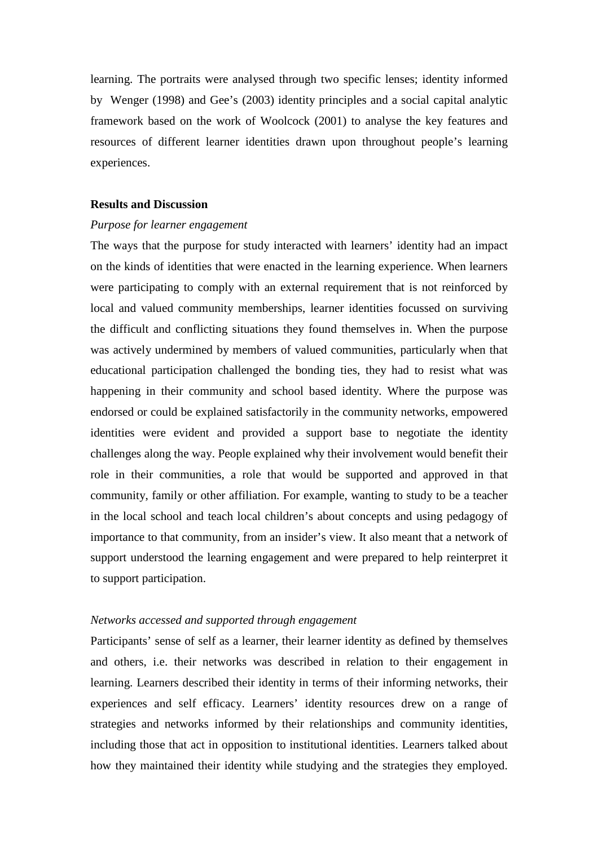learning. The portraits were analysed through two specific lenses; identity informed by Wenger (1998) and Gee's (2003) identity principles and a social capital analytic framework based on the work of Woolcock (2001) to analyse the key features and resources of different learner identities drawn upon throughout people's learning experiences.

# **Results and Discussion**

## *Purpose for learner engagement*

The ways that the purpose for study interacted with learners' identity had an impact on the kinds of identities that were enacted in the learning experience. When learners were participating to comply with an external requirement that is not reinforced by local and valued community memberships, learner identities focussed on surviving the difficult and conflicting situations they found themselves in. When the purpose was actively undermined by members of valued communities, particularly when that educational participation challenged the bonding ties, they had to resist what was happening in their community and school based identity. Where the purpose was endorsed or could be explained satisfactorily in the community networks, empowered identities were evident and provided a support base to negotiate the identity challenges along the way. People explained why their involvement would benefit their role in their communities, a role that would be supported and approved in that community, family or other affiliation. For example, wanting to study to be a teacher in the local school and teach local children's about concepts and using pedagogy of importance to that community, from an insider's view. It also meant that a network of support understood the learning engagement and were prepared to help reinterpret it to support participation.

## *Networks accessed and supported through engagement*

Participants' sense of self as a learner, their learner identity as defined by themselves and others, i.e. their networks was described in relation to their engagement in learning. Learners described their identity in terms of their informing networks, their experiences and self efficacy. Learners' identity resources drew on a range of strategies and networks informed by their relationships and community identities, including those that act in opposition to institutional identities. Learners talked about how they maintained their identity while studying and the strategies they employed.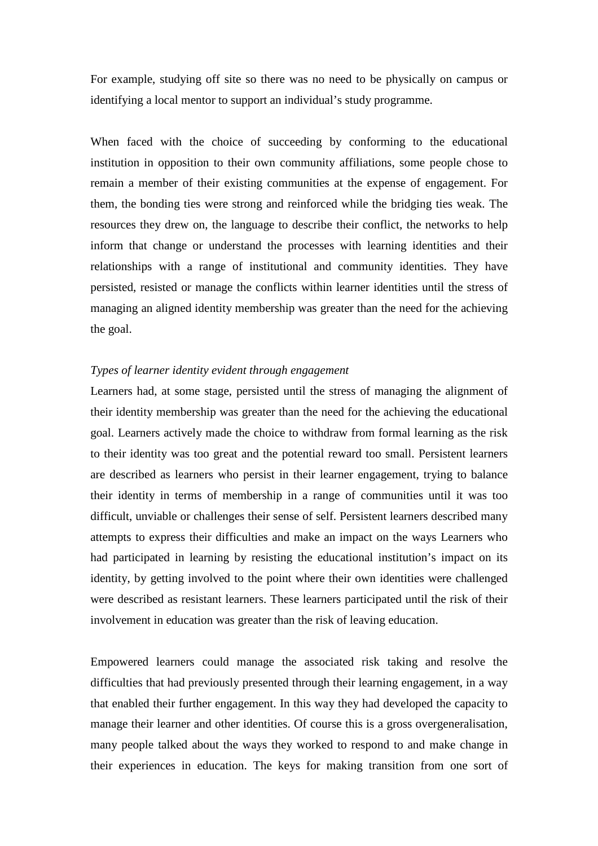For example, studying off site so there was no need to be physically on campus or identifying a local mentor to support an individual's study programme.

When faced with the choice of succeeding by conforming to the educational institution in opposition to their own community affiliations, some people chose to remain a member of their existing communities at the expense of engagement. For them, the bonding ties were strong and reinforced while the bridging ties weak. The resources they drew on, the language to describe their conflict, the networks to help inform that change or understand the processes with learning identities and their relationships with a range of institutional and community identities. They have persisted, resisted or manage the conflicts within learner identities until the stress of managing an aligned identity membership was greater than the need for the achieving the goal.

#### *Types of learner identity evident through engagement*

Learners had, at some stage, persisted until the stress of managing the alignment of their identity membership was greater than the need for the achieving the educational goal. Learners actively made the choice to withdraw from formal learning as the risk to their identity was too great and the potential reward too small. Persistent learners are described as learners who persist in their learner engagement, trying to balance their identity in terms of membership in a range of communities until it was too difficult, unviable or challenges their sense of self. Persistent learners described many attempts to express their difficulties and make an impact on the ways Learners who had participated in learning by resisting the educational institution's impact on its identity, by getting involved to the point where their own identities were challenged were described as resistant learners. These learners participated until the risk of their involvement in education was greater than the risk of leaving education.

Empowered learners could manage the associated risk taking and resolve the difficulties that had previously presented through their learning engagement, in a way that enabled their further engagement. In this way they had developed the capacity to manage their learner and other identities. Of course this is a gross overgeneralisation, many people talked about the ways they worked to respond to and make change in their experiences in education. The keys for making transition from one sort of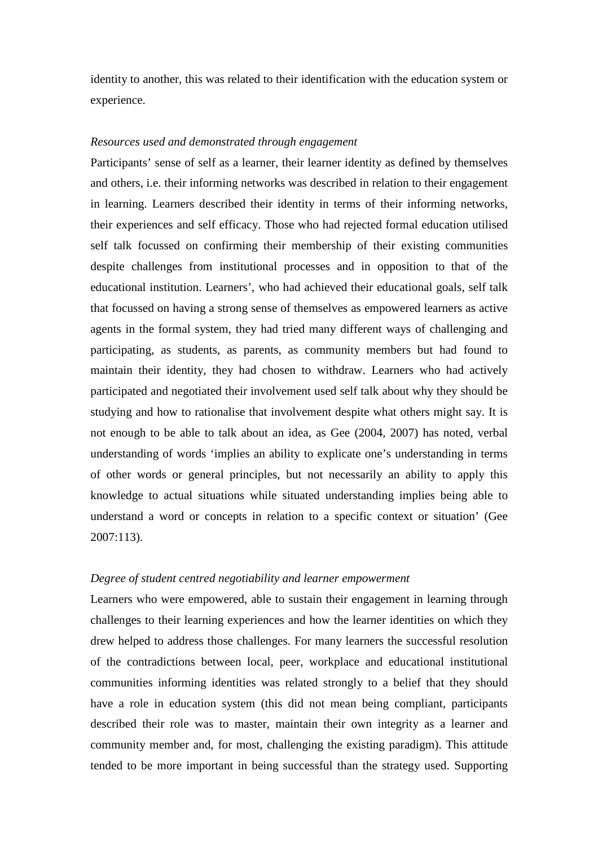identity to another, this was related to their identification with the education system or experience.

## *Resources used and demonstrated through engagement*

Participants' sense of self as a learner, their learner identity as defined by themselves and others, i.e. their informing networks was described in relation to their engagement in learning. Learners described their identity in terms of their informing networks, their experiences and self efficacy. Those who had rejected formal education utilised self talk focussed on confirming their membership of their existing communities despite challenges from institutional processes and in opposition to that of the educational institution. Learners', who had achieved their educational goals, self talk that focussed on having a strong sense of themselves as empowered learners as active agents in the formal system, they had tried many different ways of challenging and participating, as students, as parents, as community members but had found to maintain their identity, they had chosen to withdraw. Learners who had actively participated and negotiated their involvement used self talk about why they should be studying and how to rationalise that involvement despite what others might say. It is not enough to be able to talk about an idea, as Gee (2004, 2007) has noted, verbal understanding of words 'implies an ability to explicate one's understanding in terms of other words or general principles, but not necessarily an ability to apply this knowledge to actual situations while situated understanding implies being able to understand a word or concepts in relation to a specific context or situation' (Gee 2007:113).

# *Degree of student centred negotiability and learner empowerment*

Learners who were empowered, able to sustain their engagement in learning through challenges to their learning experiences and how the learner identities on which they drew helped to address those challenges. For many learners the successful resolution of the contradictions between local, peer, workplace and educational institutional communities informing identities was related strongly to a belief that they should have a role in education system (this did not mean being compliant, participants described their role was to master, maintain their own integrity as a learner and community member and, for most, challenging the existing paradigm). This attitude tended to be more important in being successful than the strategy used. Supporting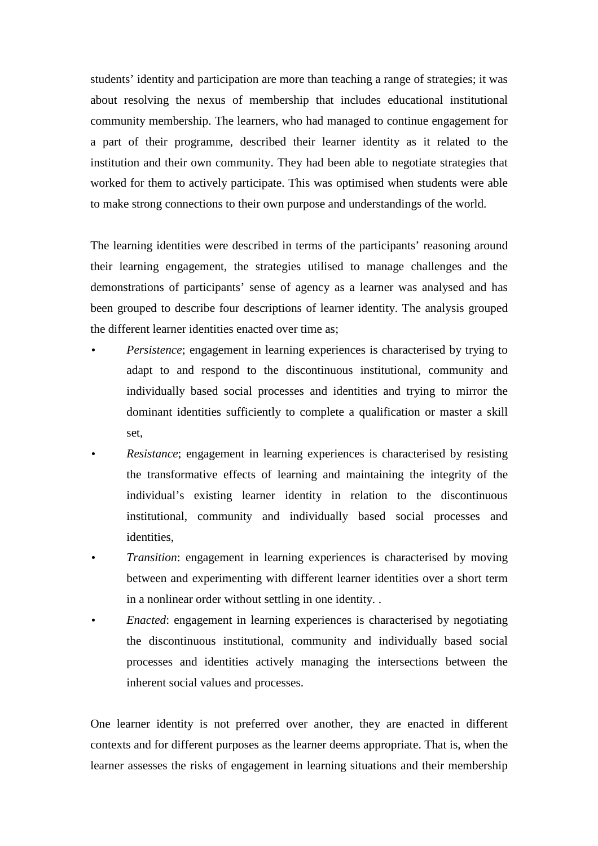students' identity and participation are more than teaching a range of strategies; it was about resolving the nexus of membership that includes educational institutional community membership. The learners, who had managed to continue engagement for a part of their programme, described their learner identity as it related to the institution and their own community. They had been able to negotiate strategies that worked for them to actively participate. This was optimised when students were able to make strong connections to their own purpose and understandings of the world.

The learning identities were described in terms of the participants' reasoning around their learning engagement, the strategies utilised to manage challenges and the demonstrations of participants' sense of agency as a learner was analysed and has been grouped to describe four descriptions of learner identity. The analysis grouped the different learner identities enacted over time as;

- *Persistence*; engagement in learning experiences is characterised by trying to adapt to and respond to the discontinuous institutional, community and individually based social processes and identities and trying to mirror the dominant identities sufficiently to complete a qualification or master a skill set,
- *Resistance*; engagement in learning experiences is characterised by resisting the transformative effects of learning and maintaining the integrity of the individual's existing learner identity in relation to the discontinuous institutional, community and individually based social processes and identities,
- *Transition*: engagement in learning experiences is characterised by moving between and experimenting with different learner identities over a short term in a nonlinear order without settling in one identity. .
- *Enacted*: engagement in learning experiences is characterised by negotiating the discontinuous institutional, community and individually based social processes and identities actively managing the intersections between the inherent social values and processes.

One learner identity is not preferred over another, they are enacted in different contexts and for different purposes as the learner deems appropriate. That is, when the learner assesses the risks of engagement in learning situations and their membership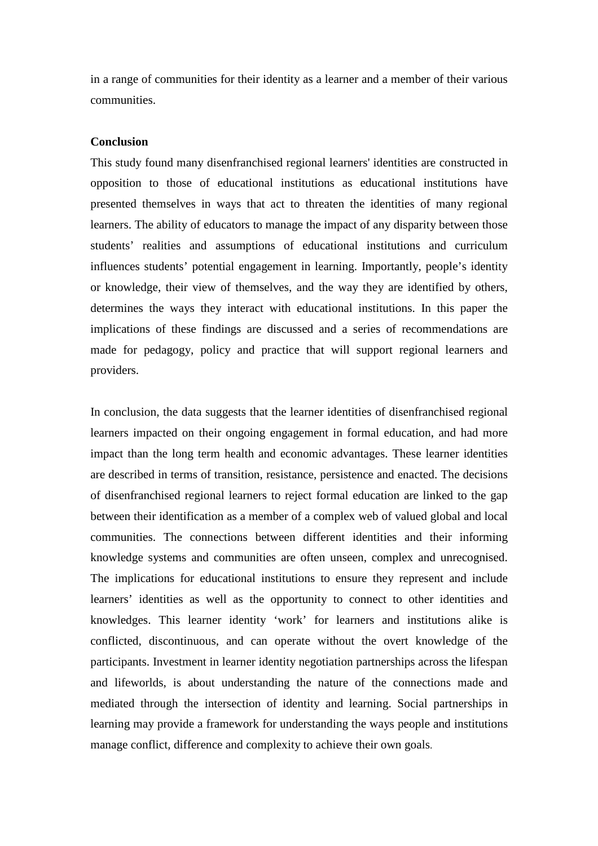in a range of communities for their identity as a learner and a member of their various communities.

# **Conclusion**

This study found many disenfranchised regional learners' identities are constructed in opposition to those of educational institutions as educational institutions have presented themselves in ways that act to threaten the identities of many regional learners. The ability of educators to manage the impact of any disparity between those students' realities and assumptions of educational institutions and curriculum influences students' potential engagement in learning. Importantly, people's identity or knowledge, their view of themselves, and the way they are identified by others, determines the ways they interact with educational institutions. In this paper the implications of these findings are discussed and a series of recommendations are made for pedagogy, policy and practice that will support regional learners and providers.

In conclusion, the data suggests that the learner identities of disenfranchised regional learners impacted on their ongoing engagement in formal education, and had more impact than the long term health and economic advantages. These learner identities are described in terms of transition, resistance, persistence and enacted. The decisions of disenfranchised regional learners to reject formal education are linked to the gap between their identification as a member of a complex web of valued global and local communities. The connections between different identities and their informing knowledge systems and communities are often unseen, complex and unrecognised. The implications for educational institutions to ensure they represent and include learners' identities as well as the opportunity to connect to other identities and knowledges. This learner identity 'work' for learners and institutions alike is conflicted, discontinuous, and can operate without the overt knowledge of the participants. Investment in learner identity negotiation partnerships across the lifespan and lifeworlds, is about understanding the nature of the connections made and mediated through the intersection of identity and learning. Social partnerships in learning may provide a framework for understanding the ways people and institutions manage conflict, difference and complexity to achieve their own goals.